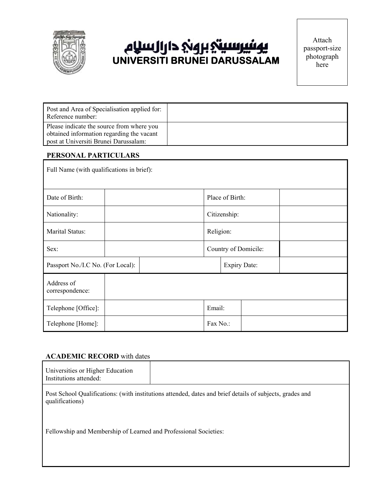

# بيرسيتي بروني دارالسلام **UNIVERSITI BRUNEI DARUSSALAM**

| Post and Area of Specialisation applied for:<br>Reference number:                      |  |
|----------------------------------------------------------------------------------------|--|
| Please indicate the source from where you<br>obtained information regarding the vacant |  |
| post at Universiti Brunei Darussalam:                                                  |  |

## **PERSONAL PARTICULARS**

| Full Name (with qualifications in brief): |  |                     |                 |  |                      |  |  |
|-------------------------------------------|--|---------------------|-----------------|--|----------------------|--|--|
| Date of Birth:                            |  |                     | Place of Birth: |  |                      |  |  |
| Nationality:                              |  |                     | Citizenship:    |  |                      |  |  |
| Marital Status:                           |  |                     | Religion:       |  |                      |  |  |
| Sex:                                      |  |                     |                 |  | Country of Domicile: |  |  |
| Passport No./I.C No. (For Local):         |  | <b>Expiry Date:</b> |                 |  |                      |  |  |
| Address of<br>correspondence:             |  |                     |                 |  |                      |  |  |
| Telephone [Office]:                       |  |                     | Email:          |  |                      |  |  |
| Telephone [Home]:                         |  |                     | Fax No.:        |  |                      |  |  |

### **ACADEMIC RECORD** with dates

| Universities or Higher Education<br>Institutions attended: |  |
|------------------------------------------------------------|--|
|                                                            |  |

Post School Qualifications: (with institutions attended, dates and brief details of subjects, grades and qualifications)

Fellowship and Membership of Learned and Professional Societies: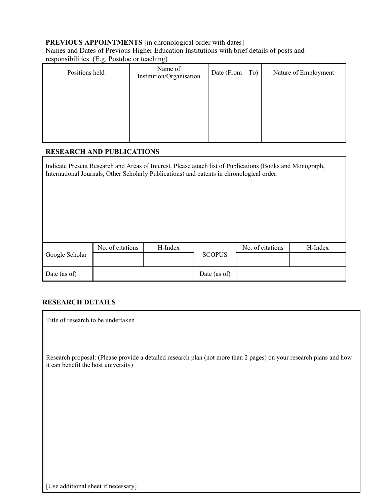# **PREVIOUS APPOINTMENTS** [in chronological order with dates]

Names and Dates of Previous Higher Education Institutions with brief details of posts and responsibilities. (E.g. Postdoc or teaching)

| Positions held | Name of<br>Institution/Organisation | Date (From $-$ To) | Nature of Employment |
|----------------|-------------------------------------|--------------------|----------------------|
|                |                                     |                    |                      |
|                |                                     |                    |                      |
|                |                                     |                    |                      |
|                |                                     |                    |                      |

## **RESEARCH AND PUBLICATIONS**

Indicate Present Research and Areas of Interest. Please attach list of Publications (Books and Monograph, International Journals, Other Scholarly Publications) and patents in chronological order.

|                | No. of citations | H-Index | <b>SCOPUS</b> | No. of citations | H-Index |
|----------------|------------------|---------|---------------|------------------|---------|
| Google Scholar |                  |         |               |                  |         |
| Date (as of)   |                  |         | Date (as of)  |                  |         |

## **RESEARCH DETAILS**

| Title of research to be undertaken  |                                                                                                                    |
|-------------------------------------|--------------------------------------------------------------------------------------------------------------------|
|                                     |                                                                                                                    |
| it can benefit the host university) | Research proposal: (Please provide a detailed research plan (not more than 2 pages) on your research plans and how |
|                                     |                                                                                                                    |
|                                     |                                                                                                                    |
|                                     |                                                                                                                    |
|                                     |                                                                                                                    |
|                                     |                                                                                                                    |
|                                     |                                                                                                                    |
|                                     |                                                                                                                    |
|                                     |                                                                                                                    |